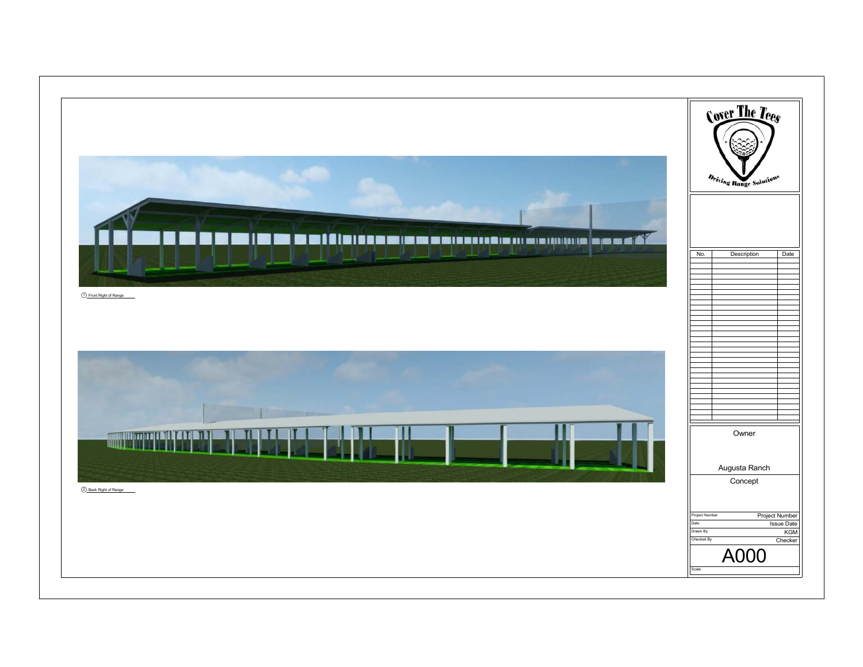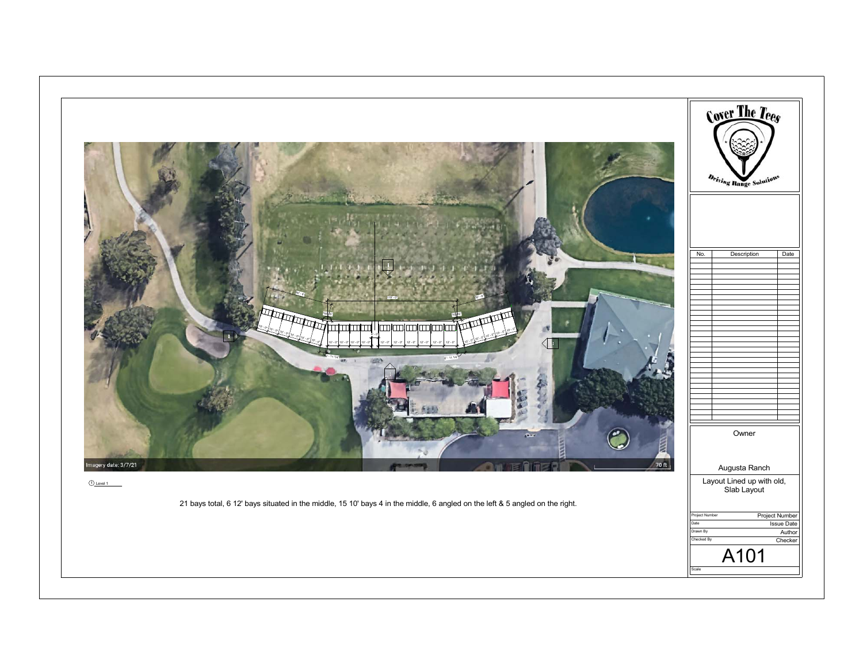